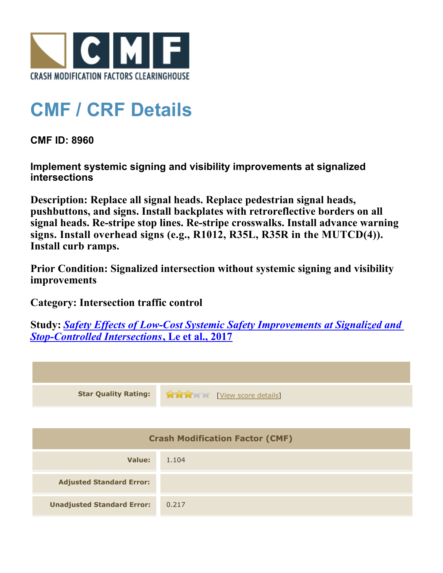

## **CMF / CRF Details**

**CMF ID: 8960**

**Implement systemic signing and visibility improvements at signalized intersections**

**Description: Replace all signal heads. Replace pedestrian signal heads, pushbuttons, and signs. Install backplates with retroreflective borders on all signal heads. Re-stripe stop lines. Re-stripe crosswalks. Install advance warning signs. Install overhead signs (e.g., R1012, R35L, R35R in the MUTCD(4)). Install curb ramps.**

**Prior Condition: Signalized intersection without systemic signing and visibility improvements**

**Category: Intersection traffic control**

**Study:** *[Safety Effects of Low-Cost Systemic Safety Improvements at Signalized and](http://www.cmfclearinghouse.org/study_detail.cfm?stid=492) [Stop-Controlled Intersections](http://www.cmfclearinghouse.org/study_detail.cfm?stid=492)***[, Le et al., 2017](http://www.cmfclearinghouse.org/study_detail.cfm?stid=492)**



| <b>Crash Modification Factor (CMF)</b> |       |  |
|----------------------------------------|-------|--|
| Value:                                 | 1.104 |  |
| <b>Adjusted Standard Error:</b>        |       |  |
| <b>Unadjusted Standard Error:</b>      | 0.217 |  |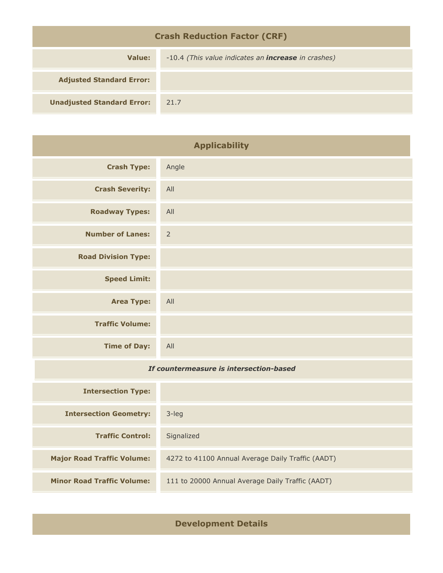| <b>Crash Reduction Factor (CRF)</b> |                                                            |  |
|-------------------------------------|------------------------------------------------------------|--|
| Value:                              | -10.4 (This value indicates an <b>increase</b> in crashes) |  |
| <b>Adjusted Standard Error:</b>     |                                                            |  |
| <b>Unadjusted Standard Error:</b>   | 21.7                                                       |  |

| <b>Applicability</b>                    |                |
|-----------------------------------------|----------------|
| <b>Crash Type:</b>                      | Angle          |
| <b>Crash Severity:</b>                  | All            |
| <b>Roadway Types:</b>                   | All            |
| <b>Number of Lanes:</b>                 | $\overline{2}$ |
| <b>Road Division Type:</b>              |                |
| <b>Speed Limit:</b>                     |                |
| <b>Area Type:</b>                       | All            |
| <b>Traffic Volume:</b>                  |                |
| <b>Time of Day:</b>                     | All            |
| If countermeasure is intersection-based |                |
| <b>Intersection Type:</b>               |                |
| <b>Intersection Geometry:</b>           | 3-leg          |
| <b>Traffic Control:</b>                 | Signalized     |

**Development Details**

**Major Road Traffic Volume:** 4272 to 41100 Annual Average Daily Traffic (AADT)

**Minor Road Traffic Volume:** 111 to 20000 Annual Average Daily Traffic (AADT)